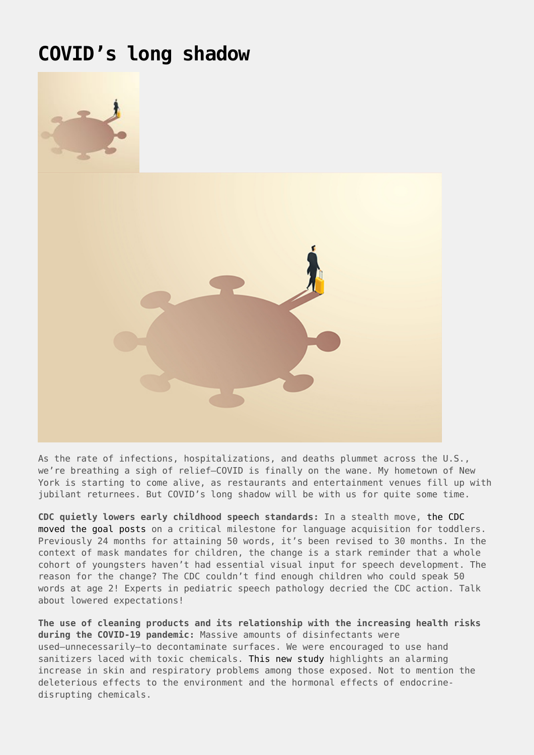## **[COVID's long shadow](https://drhoffman.com/article/covids-long-shadow/)**



As the rate of infections, hospitalizations, and deaths plummet across the U.S., we're breathing a sigh of relief—COVID is finally on the wane. My hometown of New York is starting to come alive, as restaurants and entertainment venues fill up with jubilant returnees. But COVID's long shadow will be with us for quite some time.

**CDC quietly lowers early childhood speech standards:** In a stealth move, [the CDC](https://thepostmillennial.com/cdc-quietly-lowers-early-childhood-speech-standards) [moved the goal posts](https://thepostmillennial.com/cdc-quietly-lowers-early-childhood-speech-standards) on a critical milestone for language acquisition for toddlers. Previously 24 months for attaining 50 words, it's been revised to 30 months. In the context of mask mandates for children, the change is a stark reminder that a whole cohort of youngsters haven't had essential visual input for speech development. The reason for the change? The CDC couldn't find enough children who could speak 50 words at age 2! Experts in pediatric speech pathology decried the CDC action. Talk about lowered expectations!

**The use of cleaning products and its relationship with the increasing health risks during the COVID‐19 pandemic:** Massive amounts of disinfectants were used—unnecessarily—to decontaminate surfaces. We were encouraged to use hand sanitizers laced with toxic chemicals. [This new study](https://onlinelibrary.wiley.com/doi/10.1111/ijcp.14534) highlights an alarming increase in skin and respiratory problems among those exposed. Not to mention the deleterious effects to the environment and the hormonal effects of endocrinedisrupting chemicals.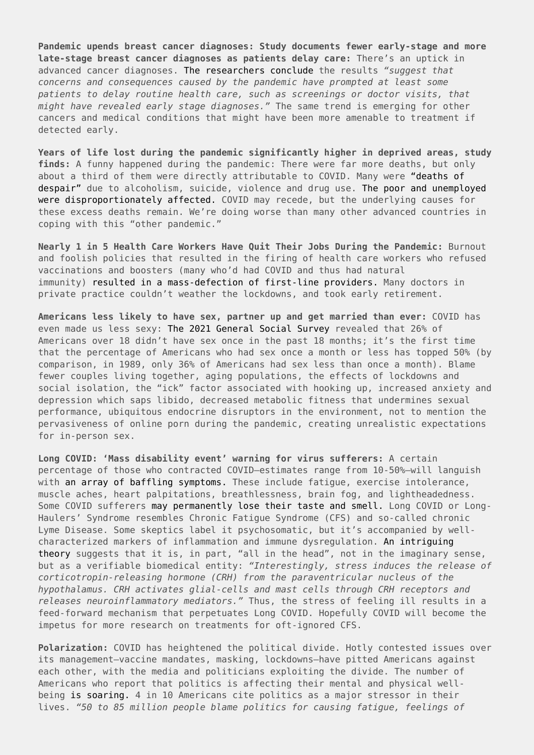**Pandemic upends breast cancer diagnoses: Study documents fewer early-stage and more late-stage breast cancer diagnoses as patients delay care:** There's an uptick in advanced cancer diagnoses. [The researchers conclude](https://www.sciencedaily.com/releases/2022/02/220215125457.htm) the results *"suggest that concerns and consequences caused by the pandemic have prompted at least some patients to delay routine health care, such as screenings or doctor visits, that might have revealed early stage diagnoses."* The same trend is emerging for other cancers and medical conditions that might have been more amenable to treatment if detected early.

**Years of life lost during the pandemic significantly higher in deprived areas, study finds:** A funny happened during the pandemic: There were far more deaths, but only about a third of them were directly attributable to COVID. Many were ["deaths of](https://www.medicalnewstoday.com/articles/deaths-of-despair-on-the-rise-in-the-us-why-here-and-not-in-other-nations) [despair"](https://www.medicalnewstoday.com/articles/deaths-of-despair-on-the-rise-in-the-us-why-here-and-not-in-other-nations) due to alcoholism, suicide, violence and drug use. [The poor and unemployed](https://www.sciencedaily.com/releases/2022/02/220215140747.htm) [were disproportionately affected.](https://www.sciencedaily.com/releases/2022/02/220215140747.htm) COVID may recede, but the underlying causes for these excess deaths remain. We're doing worse than many other advanced countries in coping with this "other pandemic."

**Nearly 1 in 5 Health Care Workers Have Quit Their Jobs During the Pandemic:** Burnout and foolish policies that resulted in the firing of health care workers who refused vaccinations and boosters (many who'd had COVID and thus had natural immunity) [resulted in a mass-defection of first-line providers.](https://morningconsult.com/2021/10/04/health-care-workers-series-part-2-workforce/) Many doctors in private practice couldn't weather the lockdowns, and took early retirement.

**Americans less likely to have sex, partner up and get married than ever:** COVID has even made us less sexy: [The 2021 General Social Survey](https://www.cnn.com/2022/02/14/health/valentines-day-love-marriage-relationships-wellness/index.html) revealed that 26% of Americans over 18 didn't have sex once in the past 18 months; it's the first time that the percentage of Americans who had sex once a month or less has topped 50% (by comparison, in 1989, only 36% of Americans had sex less than once a month). Blame fewer couples living together, aging populations, the effects of lockdowns and social isolation, the "ick" factor associated with hooking up, increased anxiety and depression which saps libido, decreased metabolic fitness that undermines sexual performance, ubiquitous endocrine disruptors in the environment, not to mention the pervasiveness of online porn during the pandemic, creating unrealistic expectations for in-person sex.

**Long COVID: 'Mass disability event' warning for virus sufferers:** A certain percentage of those who contracted COVID—estimates range from 10-50%—will languish with [an array of baffling symptoms.](https://www.news.com.au/technology/science/human-body/mass-disability-event-warning-as-huge-numbers-diagnosed-with-long-covid/news-story/d541286fc71ac1b2a262ac798238d4ec) These include fatigue, exercise intolerance, muscle aches, heart palpitations, breathlessness, brain fog, and lightheadedness. Some COVID sufferers [may permanently lose their taste and smell.](https://www.dailymail.co.uk/health/article-10480771/Will-people-lose-sense-smell-good-Covid-19.html) Long COVID or Long-Haulers' Syndrome resembles Chronic Fatigue Syndrome (CFS) and so-called chronic Lyme Disease. Some skeptics label it psychosomatic, but it's accompanied by wellcharacterized markers of inflammation and immune dysregulation. [An intriguing](https://www.frontiersin.org/articles/10.3389/fneur.2021.701419/full) [theory](https://www.frontiersin.org/articles/10.3389/fneur.2021.701419/full) suggests that it is, in part, "all in the head", not in the imaginary sense, but as a verifiable biomedical entity: *"Interestingly, stress induces the release of corticotropin-releasing hormone (CRH) from the paraventricular nucleus of the hypothalamus. CRH activates glial-cells and mast cells through CRH receptors and releases neuroinflammatory mediators."* Thus, the stress of feeling ill results in a feed-forward mechanism that perpetuates Long COVID. Hopefully COVID will become the impetus for more research on treatments for oft-ignored CFS.

**Polarization:** COVID has heightened the political divide. Hotly contested issues over its management—vaccine mandates, masking, lockdowns—have pitted Americans against each other, with the media and politicians exploiting the divide. The number of Americans who report that politics is affecting their mental and physical wellbeing [is soaring.](https://www.studyfinds.org/american-politics-feel-sick/) 4 in 10 Americans cite politics as a major stressor in their lives. *"50 to 85 million people blame politics for causing fatigue, feelings of*